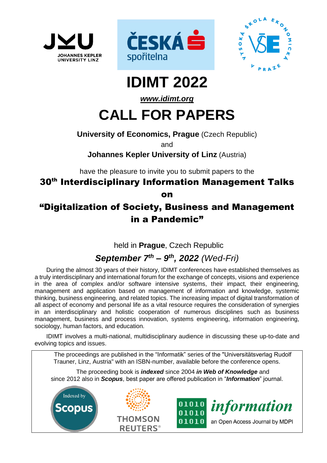





# **IDIMT 2022**

## *[www.idimt.org](http://www.idimt.org/)*

# **CALL FOR PAPERS**

## **University of Economics, Prague** (Czech Republic)

and

## **Johannes Kepler University of Linz** (Austria)

have the pleasure to invite you to submit papers to the

## 30<sup>th</sup> Interdisciplinary Information Management Talks on

## "Digitalization of Society, Business and Management in a Pandemic"

held in **Prague**, Czech Republic

## *September 7 th – 9 th , 2022 (Wed-Fri)*

During the almost 30 years of their history, IDIMT conferences have established themselves as a truly interdisciplinary and international forum for the exchange of concepts, visions and experience in the area of complex and/or software intensive systems, their impact, their engineering, management and application based on management of information and knowledge, systemic thinking, business engineering, and related topics. The increasing impact of digital transformation of all aspect of economy and personal life as a vital resource requires the consideration of synergies in an interdisciplinary and holistic cooperation of numerous disciplines such as business management, business and process innovation, systems engineering, information engineering, sociology, human factors, and education.

IDIMT involves a multi-national, multidisciplinary audience in discussing these up-to-date and evolving topics and issues.

The proceedings are published in the "Informatik" series of the "Universitätsverlag Rudolf Trauner, Linz, Austria" with an ISBN-number, available before the conference opens.

The proceeding book is *indexed* since 2004 *in Web of Knowledge* and since 2012 also in *Scopus*, best paper are offered publication in "*Information*" journal.

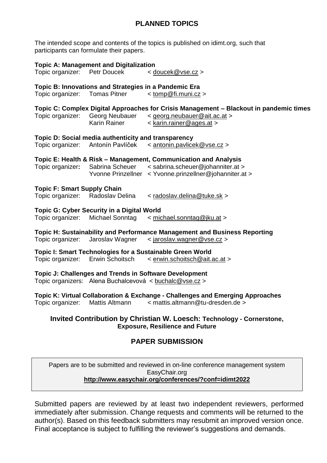## **PLANNED TOPICS**

The intended scope and contents of the topics is published on idimt.org, such that participants can formulate their papers.

| Topic organizer: Petr Doucek                                                                                                                             | <b>Topic A: Management and Digitalization</b>                                            | < doucek@vse.cz >                                                                                                                                               |  |  |  |
|----------------------------------------------------------------------------------------------------------------------------------------------------------|------------------------------------------------------------------------------------------|-----------------------------------------------------------------------------------------------------------------------------------------------------------------|--|--|--|
|                                                                                                                                                          |                                                                                          |                                                                                                                                                                 |  |  |  |
|                                                                                                                                                          | Topic B: Innovations and Strategies in a Pandemic Era<br>Topic organizer: Tomas Pitner   | $<$ tomp@fi.muni.cz >                                                                                                                                           |  |  |  |
| Topic organizer:                                                                                                                                         | Georg Neubauer<br>Karin Rainer                                                           | Topic C: Complex Digital Approaches for Crisis Management - Blackout in pandemic times<br>< georg.neubauer@ait.ac.at ><br>< karin.rainer@ages.at >              |  |  |  |
|                                                                                                                                                          | Topic D: Social media authenticity and transparency<br>Topic organizer: Antonín Pavlíček | < antonin.pavlicek@vse.cz >                                                                                                                                     |  |  |  |
|                                                                                                                                                          | Topic organizer: Sabrina Scheuer                                                         | Topic E: Health & Risk - Management, Communication and Analysis<br>< sabrina.scheuer@johanniter.at ><br>Yvonne Prinzellner < Yvonne.prinzellner@johanniter.at > |  |  |  |
| <b>Topic F: Smart Supply Chain</b><br>Topic organizer: Radoslav Delina                                                                                   |                                                                                          | < radoslav.delina@tuke.sk >                                                                                                                                     |  |  |  |
|                                                                                                                                                          | <b>Topic G: Cyber Security in a Digital World</b><br>Topic organizer: Michael Sonntag    | < michael.sonntag@jku.at >                                                                                                                                      |  |  |  |
|                                                                                                                                                          | Topic organizer: Jaroslav Wagner                                                         | Topic H: Sustainability and Performance Management and Business Reporting<br>< jaroslav.wagner@vse.cz >                                                         |  |  |  |
|                                                                                                                                                          | Topic organizer: Erwin Schoitsch                                                         | <b>Topic I: Smart Technologies for a Sustainable Green World</b><br>< erwin.schoitsch@ait.ac.at >                                                               |  |  |  |
| Topic J: Challenges and Trends in Software Development<br>Topic organizers: Alena Buchalcevová < buchalc@vse.cz >                                        |                                                                                          |                                                                                                                                                                 |  |  |  |
| Topic organizer:                                                                                                                                         | Mattis Altmann                                                                           | Topic K: Virtual Collaboration & Exchange - Challenges and Emerging Approaches<br>< mattis.altmann@tu-dresden.de >                                              |  |  |  |
| Invited Contribution by Christian W. Loesch: Technology - Cornerstone,<br><b>Exposure, Resilience and Future</b>                                         |                                                                                          |                                                                                                                                                                 |  |  |  |
| <b>PAPER SUBMISSION</b>                                                                                                                                  |                                                                                          |                                                                                                                                                                 |  |  |  |
| Papers are to be submitted and reviewed in on-line conference management system<br>EasyChair.org<br>http://www.easychair.org/conferences/?conf=idimt2022 |                                                                                          |                                                                                                                                                                 |  |  |  |

Submitted papers are reviewed by at least two independent reviewers, performed immediately after submission. Change requests and comments will be returned to the author(s). Based on this feedback submitters may resubmit an improved version once. Final acceptance is subject to fulfilling the reviewer's suggestions and demands.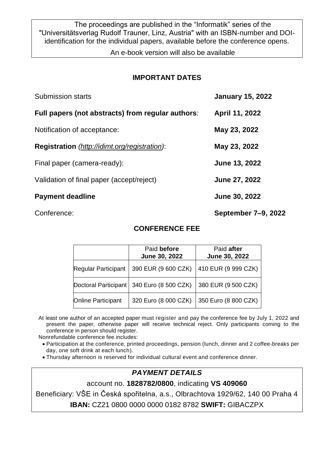The proceedings are published in the "Informatik" series of the "Universitätsverlag Rudolf Trauner, Linz, Austria" with an ISBN-number and DOIidentification for the individual papers, available before the conference opens.

An e-book version will also be available

## **IMPORTANT DATES**

| Submission starts                                    | <b>January 15, 2022</b> |
|------------------------------------------------------|-------------------------|
| Full papers (not abstracts) from regular authors:    | April 11, 2022          |
| Notification of acceptance:                          | May 23, 2022            |
| <b>Registration</b> (http://idimt.org/registration): | May 23, 2022            |
| Final paper (camera-ready):                          | June 13, 2022           |
| Validation of final paper (accept/reject)            | June 27, 2022           |
| <b>Payment deadline</b>                              | June 30, 2022           |
|                                                      |                         |

Conference: **September 7–9, 2022**

## Paid **before June 30, 2022** Paid **after June 30, 2022** Regular Participant 390 EUR (9 600 CZK) 410 EUR (9 999 CZK) Doctoral Participant | 340 Euro (8 500 CZK) | 380 EUR (9 500 CZK) Online Participant 320 Euro (8 000 CZK) 350 Euro (8 800 CZK)

**CONFERENCE FEE**

At least one author of an accepted paper must register and pay the conference fee by July 1, 2022 and present the paper, otherwise paper will receive technical reject. Only participants coming to the conference in person should register.

Nonrefundable conference fee includes:

- Participation at the conference, printed proceedings, pension (lunch, dinner and 2 coffee-breaks per day, one soft drink at each lunch).
- Thursday afternoon is reserved for individual cultural event and conference dinner.

## *PAYMENT DETAILS*

account no. **1828782/0800**, indicating **VS 409060**

Beneficiary: VŠE in Česká spořitelna, a.s., Olbrachtova 1929/62, 140 00 Praha 4 **IBAN:** CZ21 0800 0000 0000 0182 8782 **SWIFT:** GIBACZPX